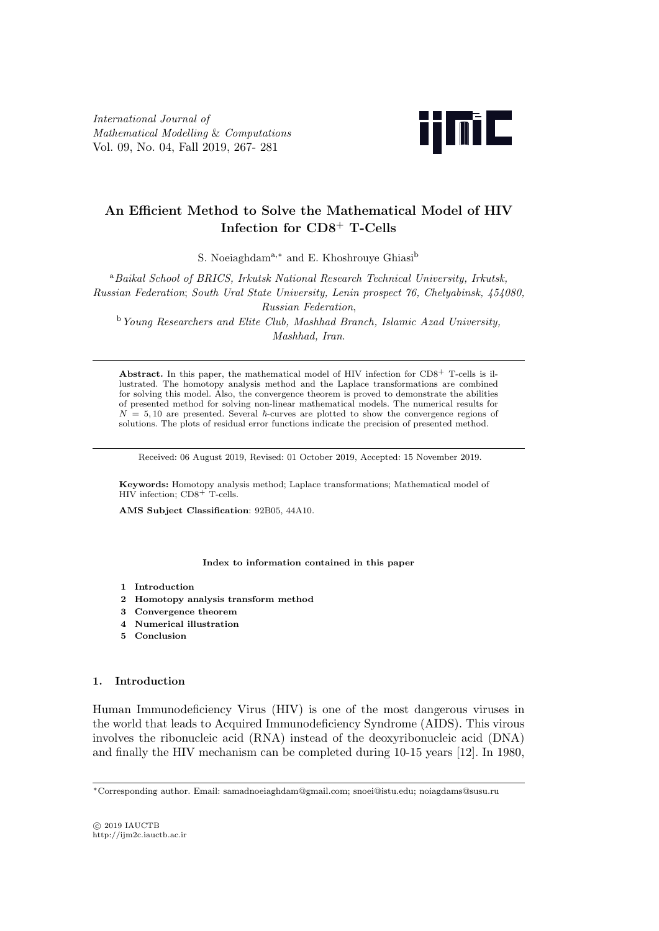*International Journal of Mathematical Modelling* & *Computations* Vol. 09, No. 04, Fall 2019, 267- 281



# **An Efficient Method to Solve the Mathematical Model of HIV Infection for CD8**<sup>+</sup> **T-Cells**

S. Noeiaghdam<sup>a,∗</sup> and E. Khoshrouve Ghiasi<sup>b</sup>

<sup>a</sup>*Baikal School of BRICS, Irkutsk National Research Technical University, Irkutsk, Russian Federation*; *South Ural State University, Lenin prospect 76, Chelyabinsk, 454080, Russian Federation*,

<sup>b</sup>*Young Researchers and Elite Club, Mashhad Branch, Islamic Azad University, Mashhad, Iran*.

**Abstract.** In this paper, the mathematical model of HIV infection for CD8<sup>+</sup> T-cells is illustrated. The homotopy analysis method and the Laplace transformations are combined for solving this model. Also, the convergence theorem is proved to demonstrate the abilities of presented method for solving non-linear mathematical models. The numerical results for  $N = 5,10$  are presented. Several  $\hbar$ -curves are plotted to show the convergence regions of solutions. The plots of residual error functions indicate the precision of presented method.

Received: 06 August 2019, Revised: 01 October 2019, Accepted: 15 November 2019.

**Keywords:** Homotopy analysis method; Laplace transformations; Mathematical model of HIV infection; CD8<sup>+</sup> T-cells.

**AMS Subject Classification**: 92B05, 44A10.

**Index to information contained in this paper**

- **1 Introduction**
- **2 Homotopy analysis transform method**
- **3 Convergence theorem**
- **4 Numerical illustration**
- **5 Conclusion**

### **1. Introduction**

Human Immunodeficiency Virus (HIV) is one of the most dangerous viruses in the world that leads to Acquired Immunodeficiency Syndrome (AIDS). This virous involves the ribonucleic acid (RNA) instead of the deoxyribonucleic acid (DNA) and finally the HIV mechanism can be completed during 10-15 years [12]. In 1980,

*<sup>∗</sup>*Corresponding author. Email: samadnoeiaghdam@gmail.com; snoei@istu.edu; noiagdams@susu.ru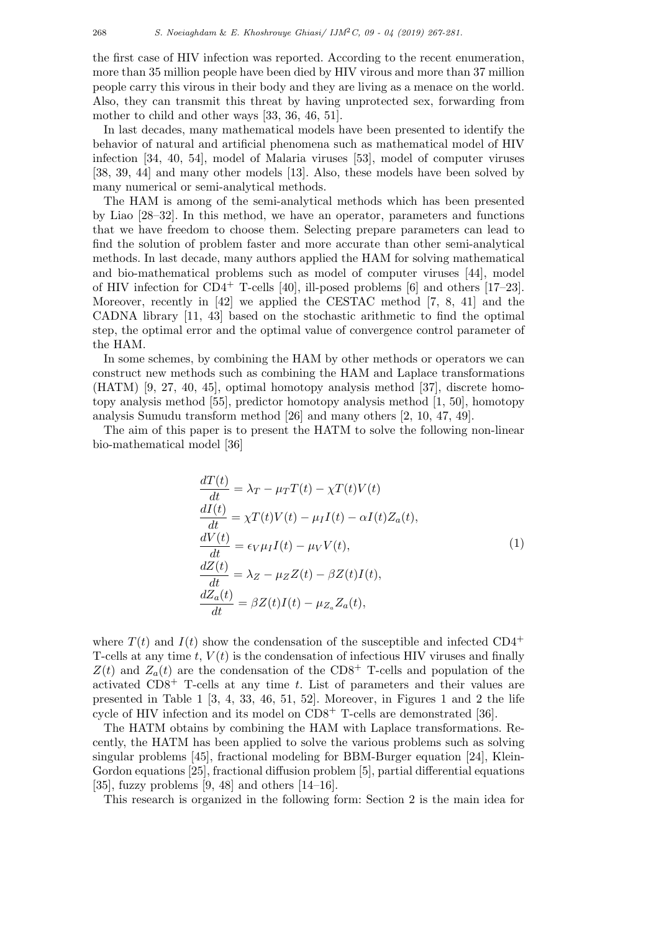the first case of HIV infection was reported. According to the recent enumeration, more than 35 million people have been died by HIV virous and more than 37 million people carry this virous in their body and they are living as a menace on the world. Also, they can transmit this threat by having unprotected sex, forwarding from mother to child and other ways [33, 36, 46, 51].

In last decades, many mathematical models have been presented to identify the behavior of natural and artificial phenomena such as mathematical model of HIV infection [34, 40, 54], model of Malaria viruses [53], model of computer viruses [38, 39, 44] and many other models [13]. Also, these models have been solved by many numerical or semi-analytical methods.

The HAM is among of the semi-analytical methods which has been presented by Liao [28–32]. In this method, we have an operator, parameters and functions that we have freedom to choose them. Selecting prepare parameters can lead to find the solution of problem faster and more accurate than other semi-analytical methods. In last decade, many authors applied the HAM for solving mathematical and bio-mathematical problems such as model of computer viruses [44], model of HIV infection for  $CD4^+$  T-cells [40], ill-posed problems [6] and others [17–23]. Moreover, recently in [42] we applied the CESTAC method [7, 8, 41] and the CADNA library [11, 43] based on the stochastic arithmetic to find the optimal step, the optimal error and the optimal value of convergence control parameter of the HAM.

In some schemes, by combining the HAM by other methods or operators we can construct new methods such as combining the HAM and Laplace transformations (HATM) [9, 27, 40, 45], optimal homotopy analysis method [37], discrete homotopy analysis method [55], predictor homotopy analysis method [1, 50], homotopy analysis Sumudu transform method [26] and many others [2, 10, 47, 49].

The aim of this paper is to present the HATM to solve the following non-linear bio-mathematical model [36]

$$
\frac{dT(t)}{dt} = \lambda_T - \mu_T T(t) - \chi T(t)V(t)
$$
\n
$$
\frac{dI(t)}{dt} = \chi T(t)V(t) - \mu_I I(t) - \alpha I(t)Z_a(t),
$$
\n
$$
\frac{dV(t)}{dt} = \epsilon_V \mu_I I(t) - \mu_V V(t),
$$
\n
$$
\frac{dZ(t)}{dt} = \lambda_Z - \mu_Z Z(t) - \beta Z(t)I(t),
$$
\n
$$
\frac{dZ_a(t)}{dt} = \beta Z(t)I(t) - \mu_{Z_a} Z_a(t),
$$
\n(1)

where  $T(t)$  and  $I(t)$  show the condensation of the susceptible and infected  $CD4^+$ T-cells at any time  $t$ ,  $V(t)$  is the condensation of infectious HIV viruses and finally  $Z(t)$  and  $Z_a(t)$  are the condensation of the CD8<sup>+</sup> T-cells and population of the activated CD8<sup>+</sup> T-cells at any time *t*. List of parameters and their values are presented in Table 1 [3, 4, 33, 46, 51, 52]. Moreover, in Figures 1 and 2 the life cycle of HIV infection and its model on  $CD8<sup>+</sup>$  T-cells are demonstrated [36].

The HATM obtains by combining the HAM with Laplace transformations. Recently, the HATM has been applied to solve the various problems such as solving singular problems [45], fractional modeling for BBM-Burger equation [24], Klein-Gordon equations [25], fractional diffusion problem [5], partial differential equations [35], fuzzy problems  $[9, 48]$  and others  $[14–16]$ .

This research is organized in the following form: Section 2 is the main idea for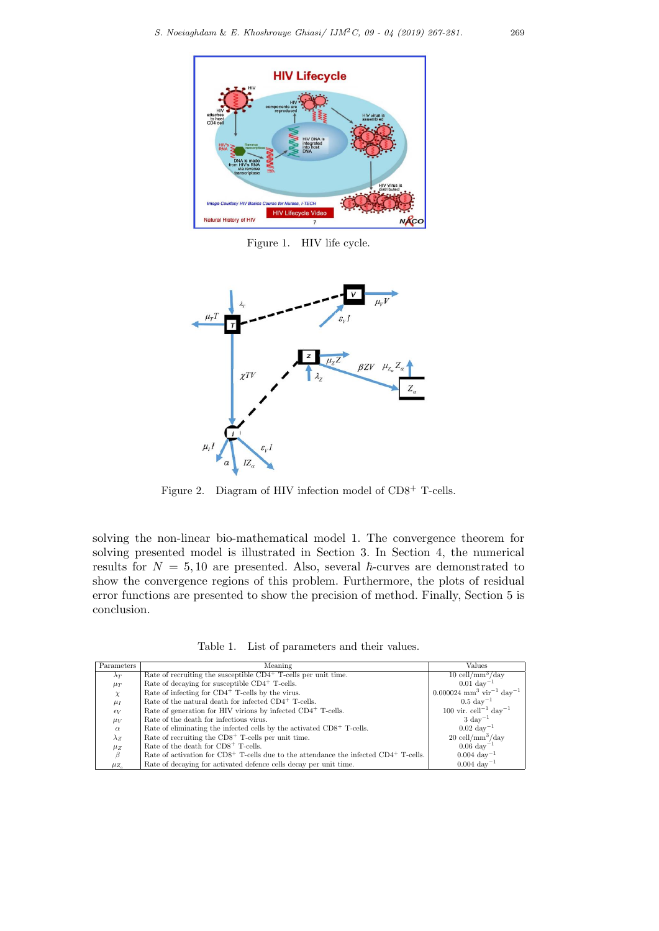

Figure 1. HIV life cycle.



Figure 2. Diagram of HIV infection model of  $CD8^+$  T-cells.

solving the non-linear bio-mathematical model 1. The convergence theorem for solving presented model is illustrated in Section 3. In Section 4, the numerical results for  $N = 5, 10$  are presented. Also, several  $\hbar$ -curves are demonstrated to show the convergence regions of this problem. Furthermore, the plots of residual error functions are presented to show the precision of method. Finally, Section 5 is conclusion.

Table 1. List of parameters and their values.

| Parameters         | Meaning                                                                                    | Values                                                         |
|--------------------|--------------------------------------------------------------------------------------------|----------------------------------------------------------------|
| $\lambda_T$        | Rate of recruiting the susceptible $CD4^+$ T-cells per unit time.                          | $10$ cell/mm <sup>3</sup> /day                                 |
| $\mu_T$            | Rate of decaying for susceptible CD4 <sup>+</sup> T-cells.                                 | $0.01~\rm{day}^{-1}$                                           |
| $\chi$             | Rate of infecting for $CD4^+$ T-cells by the virus.                                        | $0.000024$ mm <sup>3</sup> vir <sup>-1</sup> day <sup>-1</sup> |
| $\mu_I$            | Rate of the natural death for infected CD4 <sup>+</sup> T-cells.                           | $0.5 \ \mathrm{day}^{-1}$                                      |
| $\epsilon_V$       | Rate of generation for HIV virions by infected CD4 <sup>+</sup> T-cells.                   | 100 vir. cell <sup>-1</sup> day <sup>-1</sup>                  |
| $\mu_V$            | Rate of the death for infectious virus.                                                    | $3 \mathrm{~day}^{-1}$                                         |
| $\alpha$           | Rate of eliminating the infected cells by the activated $CD8+$ T-cells.                    | $0.02~{\rm day}^{-1}$                                          |
| $\lambda_Z$        | Rate of recruiting the $CD8+$ T-cells per unit time.                                       | $20$ cell/mm <sup>3</sup> /day                                 |
| $\mu_Z$            | Rate of the death for CD8 <sup>+</sup> T-cells.                                            | $0.06~\rm{day}^{-1}$                                           |
| ß                  | Rate of activation for $CD8^+$ T-cells due to the attendance the infected $CD4^+$ T-cells. | $0.004~\rm{day}^{-1}$                                          |
| $\mu_{Z_{\alpha}}$ | Rate of decaying for activated defence cells decay per unit time.                          | $0.004~\rm{day}^{-1}$                                          |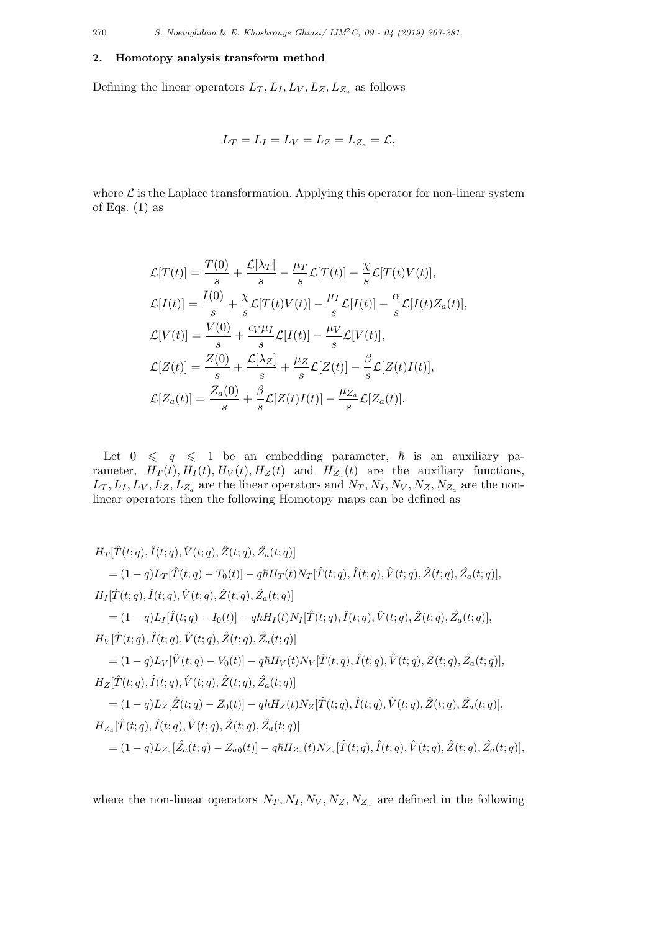270 *S. Noeiaghdam* & *E. Khoshrouye Ghiasi/ IJM*2*C, 09 - 04 (2019) 267-281.*

### **2. Homotopy analysis transform method**

Defining the linear operators  $L_T$ ,  $L_I$ ,  $L_V$ ,  $L_Z$ ,  $L_{Z_a}$  as follows

$$
L_T = L_I = L_V = L_Z = L_{Z_a} = \mathcal{L},
$$

where  $\mathcal L$  is the Laplace transformation. Applying this operator for non-linear system of Eqs.  $(1)$  as

$$
\mathcal{L}[T(t)] = \frac{T(0)}{s} + \frac{\mathcal{L}[\lambda_T]}{s} - \frac{\mu_T}{s}\mathcal{L}[T(t)] - \frac{\chi}{s}\mathcal{L}[T(t)V(t)],
$$
  
\n
$$
\mathcal{L}[I(t)] = \frac{I(0)}{s} + \frac{\chi}{s}\mathcal{L}[T(t)V(t)] - \frac{\mu_I}{s}\mathcal{L}[I(t)] - \frac{\alpha}{s}\mathcal{L}[I(t)Z_a(t)],
$$
  
\n
$$
\mathcal{L}[V(t)] = \frac{V(0)}{s} + \frac{\epsilon_V\mu_I}{s}\mathcal{L}[I(t)] - \frac{\mu_V}{s}\mathcal{L}[V(t)],
$$
  
\n
$$
\mathcal{L}[Z(t)] = \frac{Z(0)}{s} + \frac{\mathcal{L}[\lambda_Z]}{s} + \frac{\mu_Z}{s}\mathcal{L}[Z(t)] - \frac{\beta}{s}\mathcal{L}[Z(t)I(t)],
$$
  
\n
$$
\mathcal{L}[Z_a(t)] = \frac{Z_a(0)}{s} + \frac{\beta}{s}\mathcal{L}[Z(t)I(t)] - \frac{\mu_{Z_a}}{s}\mathcal{L}[Z_a(t)].
$$

Let  $0 \leq q \leq 1$  be an embedding parameter,  $\hbar$  is an auxiliary parameter,  $H_T(t)$ ,  $H_T(t)$ ,  $H_V(t)$ ,  $H_Z(t)$  and  $H_{Z_a}(t)$  are the auxiliary functions,  $L_T, L_I, L_V, L_Z, L_{Z_a}$  are the linear operators and  $N_T, N_I, N_V, N_Z, N_{Z_a}$  are the nonlinear operators then the following Homotopy maps can be defined as

$$
H_T[\hat{T}(t;q), \hat{I}(t;q), \hat{V}(t;q), \hat{Z}(t;q), \hat{Z}_a(t;q)]
$$
  
\n
$$
= (1-q)L_T[\hat{T}(t;q) - T_0(t)] - q\hbar H_T(t)N_T[\hat{T}(t;q), \hat{I}(t;q), \hat{V}(t;q), \hat{Z}_a(t;q)],
$$
  
\n
$$
H_I[\hat{T}(t;q), \hat{I}(t;q), \hat{V}(t;q), \hat{Z}(t;q), \hat{Z}_a(t;q)]
$$
  
\n
$$
= (1-q)L_I[\hat{I}(t;q) - I_0(t)] - q\hbar H_I(t)N_I[\hat{T}(t;q), \hat{I}(t;q), \hat{V}(t;q), \hat{Z}_a(t;q)],
$$
  
\n
$$
H_V[\hat{T}(t;q), \hat{I}(t;q), \hat{V}(t;q), \hat{Z}(t;q), \hat{Z}_a(t;q)]
$$
  
\n
$$
= (1-q)L_V[\hat{V}(t;q) - V_0(t)] - q\hbar H_V(t)N_V[\hat{T}(t;q), \hat{I}(t;q), \hat{Z}(t;q), \hat{Z}_a(t;q)],
$$
  
\n
$$
H_Z[\hat{T}(t;q), \hat{I}(t;q), \hat{V}(t;q), \hat{Z}(t;q), \hat{Z}_a(t;q)]
$$
  
\n
$$
= (1-q)L_Z[\hat{Z}(t;q) - Z_0(t)] - q\hbar H_Z(t)N_Z[\hat{T}(t;q), \hat{I}(t;q), \hat{V}(t;q), \hat{Z}_a(t;q)],
$$
  
\n
$$
H_{Z_a}[\hat{T}(t;q), \hat{I}(t;q), \hat{V}(t;q), \hat{Z}(t;q), \hat{Z}_a(t;q)]
$$
  
\n
$$
= (1-q)L_{Z_a}[\hat{Z}_a(t;q) - Z_{a0}(t)] - q\hbar H_{Z_a}(t)N_{Z_a}[\hat{T}(t;q), \hat{V}(t;q), \hat{Z}(t;q), \hat{Z}_a(t;q)],
$$

where the non-linear operators  $N_T, N_I, N_V, N_Z, N_{Z_a}$  are defined in the following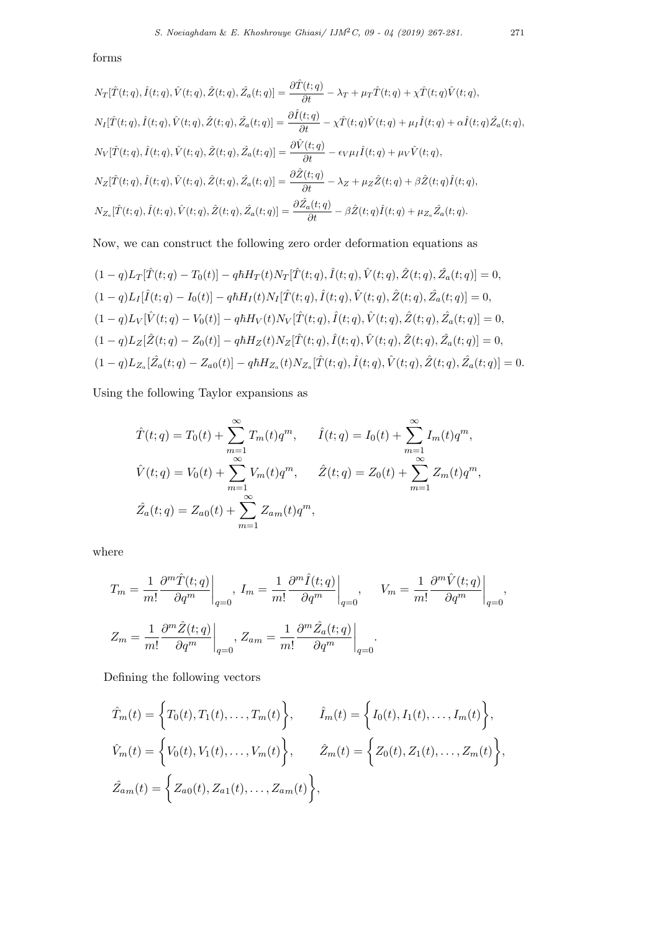$$
N_T[\hat{T}(t;q), \hat{I}(t;q), \hat{V}(t;q), \hat{Z}(t;q), \hat{Z}_a(t;q)] = \frac{\partial \hat{T}(t;q)}{\partial t} - \lambda_T + \mu_T \hat{T}(t;q) + \chi \hat{T}(t;q) \hat{V}(t;q),
$$
  
\n
$$
N_I[\hat{T}(t;q), \hat{I}(t;q), \hat{V}(t;q), \hat{Z}(t;q), \hat{Z}_a(t;q)] = \frac{\partial \hat{I}(t;q)}{\partial t} - \chi \hat{T}(t;q) \hat{V}(t;q) + \mu_I \hat{I}(t;q) + \alpha \hat{I}(t;q) \hat{Z}_a(t;q),
$$
  
\n
$$
N_V[\hat{T}(t;q), \hat{I}(t;q), \hat{V}(t;q), \hat{Z}(t;q), \hat{Z}_a(t;q)] = \frac{\partial \hat{V}(t;q)}{\partial t} - \epsilon_V \mu_I \hat{I}(t;q) + \mu_V \hat{V}(t;q),
$$
  
\n
$$
N_Z[\hat{T}(t;q), \hat{I}(t;q), \hat{V}(t;q), \hat{Z}(t;q), \hat{Z}_a(t;q)] = \frac{\partial \hat{Z}(t;q)}{\partial t} - \lambda_Z + \mu_Z \hat{Z}(t;q) + \beta \hat{Z}(t;q) \hat{I}(t;q),
$$
  
\n
$$
N_{Z_a}[\hat{T}(t;q), \hat{I}(t;q), \hat{V}(t;q), \hat{Z}(t;q), \hat{Z}_a(t;q)] = \frac{\partial \hat{Z}_a(t;q)}{\partial t} - \beta \hat{Z}(t;q) \hat{I}(t;q) + \mu_{Z_a} \hat{Z}_a(t;q).
$$

Now, we can construct the following zero order deformation equations as

$$
(1-q)L_{T}[\hat{T}(t;q) - T_{0}(t)] - q\hbar H_{T}(t)N_{T}[\hat{T}(t;q), \hat{I}(t;q), \hat{V}(t;q), \hat{Z}(t;q), \hat{Z}_{a}(t;q)] = 0,
$$
  
\n
$$
(1-q)L_{I}[\hat{I}(t;q) - I_{0}(t)] - q\hbar H_{I}(t)N_{I}[\hat{T}(t;q), \hat{I}(t;q), \hat{V}(t;q), \hat{Z}(t;q), \hat{Z}_{a}(t;q)] = 0,
$$
  
\n
$$
(1-q)L_{V}[\hat{V}(t;q) - V_{0}(t)] - q\hbar H_{V}(t)N_{V}[\hat{T}(t;q), \hat{I}(t;q), \hat{V}(t;q), \hat{Z}(t;q), \hat{Z}_{a}(t;q)] = 0,
$$
  
\n
$$
(1-q)L_{Z}[\hat{Z}(t;q) - Z_{0}(t)] - q\hbar H_{Z}(t)N_{Z}[\hat{T}(t;q), \hat{I}(t;q), \hat{V}(t;q), \hat{Z}(t;q), \hat{Z}_{a}(t;q)] = 0,
$$
  
\n
$$
(1-q)L_{Z_{a}}[\hat{Z}_{a}(t;q) - Z_{a0}(t)] - q\hbar H_{Z_{a}}(t)N_{Z_{a}}[\hat{T}(t;q), \hat{I}(t;q), \hat{V}(t;q), \hat{Z}(t;q), \hat{Z}_{a}(t;q)] = 0.
$$

Using the following Taylor expansions as

$$
\hat{T}(t;q) = T_0(t) + \sum_{m=1}^{\infty} T_m(t)q^m, \quad \hat{I}(t;q) = I_0(t) + \sum_{m=1}^{\infty} I_m(t)q^m,
$$
  

$$
\hat{V}(t;q) = V_0(t) + \sum_{m=1}^{\infty} V_m(t)q^m, \quad \hat{Z}(t;q) = Z_0(t) + \sum_{m=1}^{\infty} Z_m(t)q^m,
$$
  

$$
\hat{Z}_a(t;q) = Z_{a0}(t) + \sum_{m=1}^{\infty} Z_{a m}(t)q^m,
$$

where

$$
T_m = \frac{1}{m!} \frac{\partial^m \hat{T}(t;q)}{\partial q^m} \bigg|_{q=0}, \ I_m = \frac{1}{m!} \frac{\partial^m \hat{I}(t;q)}{\partial q^m} \bigg|_{q=0}, \quad V_m = \frac{1}{m!} \frac{\partial^m \hat{V}(t;q)}{\partial q^m} \bigg|_{q=0},
$$
  

$$
Z_m = \frac{1}{m!} \frac{\partial^m \hat{Z}(t;q)}{\partial q^m} \bigg|_{q=0}, \ Z_{am} = \frac{1}{m!} \frac{\partial^m \hat{Z}_a(t;q)}{\partial q^m} \bigg|_{q=0}.
$$

Defining the following vectors

$$
\hat{T}_m(t) = \left\{ T_0(t), T_1(t), \dots, T_m(t) \right\}, \qquad \hat{I}_m(t) = \left\{ I_0(t), I_1(t), \dots, I_m(t) \right\},
$$
\n
$$
\hat{V}_m(t) = \left\{ V_0(t), V_1(t), \dots, V_m(t) \right\}, \qquad \hat{Z}_m(t) = \left\{ Z_0(t), Z_1(t), \dots, Z_m(t) \right\},
$$
\n
$$
\hat{Z}_{am}(t) = \left\{ Z_{a0}(t), Z_{a1}(t), \dots, Z_{am}(t) \right\},
$$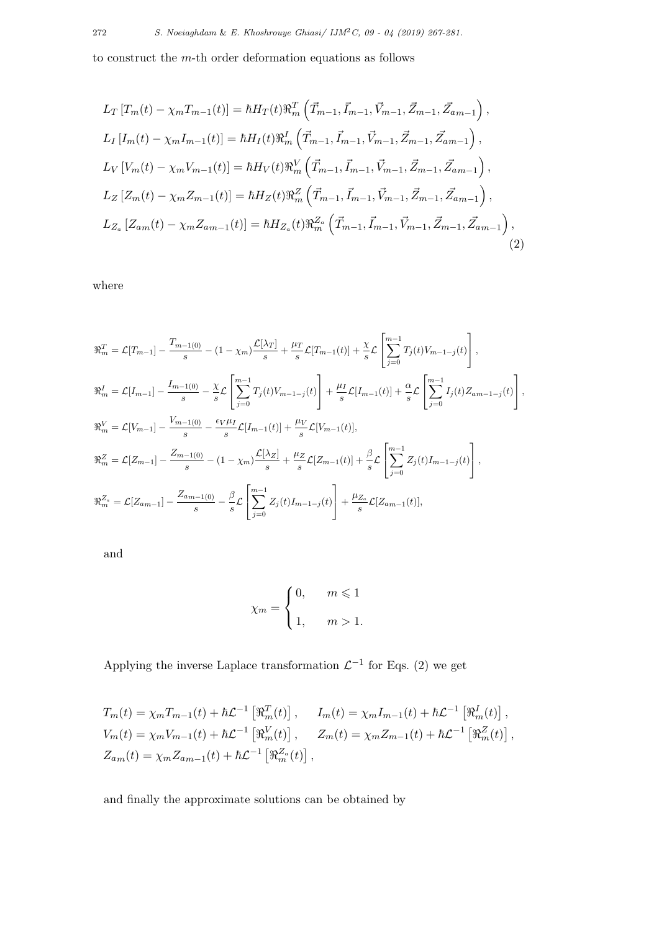to construct the *m*-th order deformation equations as follows

$$
L_{T}[T_{m}(t) - \chi_{m}T_{m-1}(t)] = \hbar H_{T}(t)\Re_{m}^{T}\left(\vec{T}_{m-1}, \vec{I}_{m-1}, \vec{V}_{m-1}, \vec{Z}_{m-1}, \vec{Z}_{am-1}\right),
$$
  
\n
$$
L_{I}[I_{m}(t) - \chi_{m}I_{m-1}(t)] = \hbar H_{I}(t)\Re_{m}^{I}\left(\vec{T}_{m-1}, \vec{I}_{m-1}, \vec{V}_{m-1}, \vec{Z}_{m-1}, \vec{Z}_{am-1}\right),
$$
  
\n
$$
L_{V}[V_{m}(t) - \chi_{m}V_{m-1}(t)] = \hbar H_{V}(t)\Re_{m}^{V}\left(\vec{T}_{m-1}, \vec{I}_{m-1}, \vec{V}_{m-1}, \vec{Z}_{m-1}, \vec{Z}_{am-1}\right),
$$
  
\n
$$
L_{Z}[Z_{m}(t) - \chi_{m}Z_{m-1}(t)] = \hbar H_{Z}(t)\Re_{m}^{Z}\left(\vec{T}_{m-1}, \vec{I}_{m-1}, \vec{V}_{m-1}, \vec{Z}_{m-1}, \vec{Z}_{am-1}\right),
$$
  
\n
$$
L_{Z_{a}}[Z_{am}(t) - \chi_{m}Z_{am-1}(t)] = \hbar H_{Z_{a}}(t)\Re_{m}^{Z_{a}}\left(\vec{T}_{m-1}, \vec{I}_{m-1}, \vec{V}_{m-1}, \vec{Z}_{m-1}, \vec{Z}_{am-1}\right),
$$
  
\n(2)

where

$$
\mathcal{R}_{m}^{T} = \mathcal{L}[T_{m-1}] - \frac{T_{m-1(0)}}{s} - (1 - \chi_{m}) \frac{\mathcal{L}[\lambda_{T}]}{s} + \frac{\mu_{T}}{s} \mathcal{L}[T_{m-1}(t)] + \frac{\chi}{s} \mathcal{L} \left[ \sum_{j=0}^{m-1} T_{j}(t) V_{m-1-j}(t) \right],
$$
  
\n
$$
\mathcal{R}_{m}^{I} = \mathcal{L}[I_{m-1}] - \frac{I_{m-1(0)}}{s} - \frac{\chi}{s} \mathcal{L} \left[ \sum_{j=0}^{m-1} T_{j}(t) V_{m-1-j}(t) \right] + \frac{\mu_{I}}{s} \mathcal{L}[I_{m-1}(t)] + \frac{\alpha}{s} \mathcal{L} \left[ \sum_{j=0}^{m-1} I_{j}(t) Z_{am-1-j}(t) \right],
$$
  
\n
$$
\mathcal{R}_{m}^{V} = \mathcal{L}[V_{m-1}] - \frac{V_{m-1(0)}}{s} - \frac{\epsilon_{V} \mu_{I}}{s} \mathcal{L}[I_{m-1}(t)] + \frac{\mu_{V}}{s} \mathcal{L}[V_{m-1}(t)],
$$
  
\n
$$
\mathcal{R}_{m}^{Z} = \mathcal{L}[Z_{m-1}] - \frac{Z_{m-1(0)}}{s} - (1 - \chi_{m}) \frac{\mathcal{L}[\lambda_{Z}]}{s} + \frac{\mu_{Z}}{s} \mathcal{L}[Z_{m-1}(t)] + \frac{\beta}{s} \mathcal{L} \left[ \sum_{j=0}^{m-1} Z_{j}(t) I_{m-1-j}(t) \right],
$$
  
\n
$$
\mathcal{R}_{m}^{Z_{a}} = \mathcal{L}[Z_{am-1}] - \frac{Z_{am-1(0)}}{s} - \frac{\beta}{s} \mathcal{L} \left[ \sum_{j=0}^{m-1} Z_{j}(t) I_{m-1-j}(t) \right] + \frac{\mu_{Z_{a}}}{s} \mathcal{L}[Z_{am-1}(t)],
$$

and

$$
\chi_m = \begin{cases} 0, & m \leq 1 \\ 1, & m > 1. \end{cases}
$$

Applying the inverse Laplace transformation  $\mathcal{L}^{-1}$  for Eqs. (2) we get

$$
T_m(t) = \chi_m T_{m-1}(t) + \hbar \mathcal{L}^{-1} \left[ \mathfrak{R}_m^T(t) \right], \qquad I_m(t) = \chi_m I_{m-1}(t) + \hbar \mathcal{L}^{-1} \left[ \mathfrak{R}_m^T(t) \right],
$$
  
\n
$$
V_m(t) = \chi_m V_{m-1}(t) + \hbar \mathcal{L}^{-1} \left[ \mathfrak{R}_m^V(t) \right], \qquad Z_m(t) = \chi_m Z_{m-1}(t) + \hbar \mathcal{L}^{-1} \left[ \mathfrak{R}_m^Z(t) \right],
$$
  
\n
$$
Z_{am}(t) = \chi_m Z_{am-1}(t) + \hbar \mathcal{L}^{-1} \left[ \mathfrak{R}_m^Z(t) \right],
$$

and finally the approximate solutions can be obtained by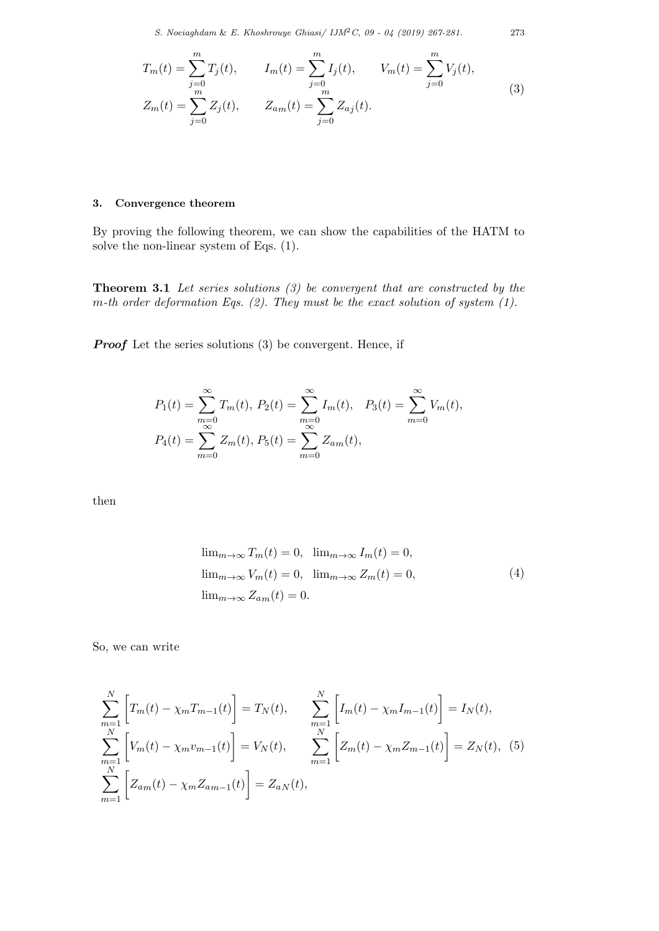*S. Noeiaghdam* & *E. Khoshrouye Ghiasi/ IJM*2*C, 09 - 04 (2019) 267-281.* 273

$$
T_m(t) = \sum_{j=0}^m T_j(t), \qquad I_m(t) = \sum_{j=0}^m I_j(t), \qquad V_m(t) = \sum_{j=0}^m V_j(t),
$$
  
\n
$$
Z_m(t) = \sum_{j=0}^m Z_j(t), \qquad Z_{am}(t) = \sum_{j=0}^m Z_{aj}(t).
$$
\n(3)

## **3. Convergence theorem**

By proving the following theorem, we can show the capabilities of the HATM to solve the non-linear system of Eqs. (1).

**Theorem 3.1** *Let series solutions (3) be convergent that are constructed by the m-th order deformation Eqs. (2). They must be the exact solution of system (1).*

*Proof* Let the series solutions (3) be convergent. Hence, if

$$
P_1(t) = \sum_{\substack{m=0 \ \infty}}^{\infty} T_m(t), \ P_2(t) = \sum_{\substack{m=0 \ \infty}}^{\infty} I_m(t), \ P_3(t) = \sum_{m=0}^{\infty} V_m(t),
$$
  

$$
P_4(t) = \sum_{m=0}^{\infty} Z_m(t), \ P_5(t) = \sum_{m=0}^{\infty} Z_{am}(t),
$$

then

$$
\lim_{m \to \infty} T_m(t) = 0, \quad \lim_{m \to \infty} I_m(t) = 0,
$$
  

$$
\lim_{m \to \infty} V_m(t) = 0, \quad \lim_{m \to \infty} Z_m(t) = 0,
$$
  

$$
\lim_{m \to \infty} Z_{am}(t) = 0.
$$
 (4)

So, we can write

$$
\sum_{m=1}^{N} \left[ T_m(t) - \chi_m T_{m-1}(t) \right] = T_N(t), \qquad \sum_{m=1}^{N} \left[ I_m(t) - \chi_m I_{m-1}(t) \right] = I_N(t),
$$
\n
$$
\sum_{m=1}^{N} \left[ V_m(t) - \chi_m v_{m-1}(t) \right] = V_N(t), \qquad \sum_{m=1}^{N} \left[ Z_m(t) - \chi_m Z_{m-1}(t) \right] = Z_N(t), \quad (5)
$$
\n
$$
\sum_{m=1}^{N} \left[ Z_{am}(t) - \chi_m Z_{am-1}(t) \right] = Z_{aN}(t),
$$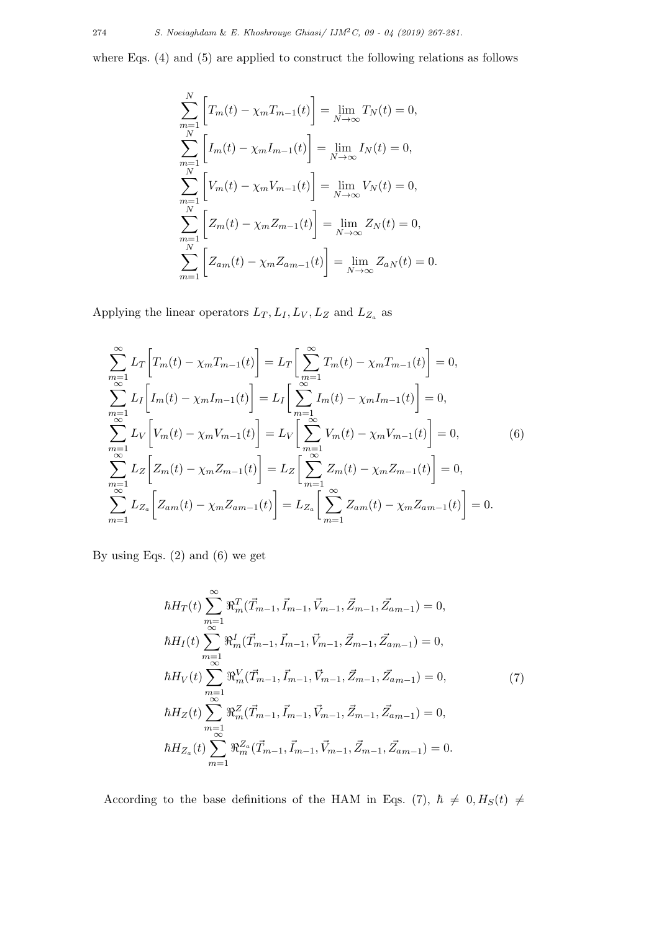where Eqs. (4) and (5) are applied to construct the following relations as follows

$$
\sum_{m=1}^{N} \left[ T_m(t) - \chi_m T_{m-1}(t) \right] = \lim_{N \to \infty} T_N(t) = 0,
$$
  
\n
$$
\sum_{m=1}^{N} \left[ I_m(t) - \chi_m I_{m-1}(t) \right] = \lim_{N \to \infty} I_N(t) = 0,
$$
  
\n
$$
\sum_{m=1}^{N} \left[ V_m(t) - \chi_m V_{m-1}(t) \right] = \lim_{N \to \infty} V_N(t) = 0,
$$
  
\n
$$
\sum_{m=1}^{N} \left[ Z_m(t) - \chi_m Z_{m-1}(t) \right] = \lim_{N \to \infty} Z_N(t) = 0,
$$
  
\n
$$
\sum_{m=1}^{N} \left[ Z_{am}(t) - \chi_m Z_{am-1}(t) \right] = \lim_{N \to \infty} Z_{aN}(t) = 0.
$$

Applying the linear operators  $L_T$ ,  $L_I$ ,  $L_V$ ,  $L_Z$  and  $L_{Z_a}$  as

$$
\sum_{m=1}^{\infty} L_T \left[ T_m(t) - \chi_m T_{m-1}(t) \right] = L_T \left[ \sum_{m=1}^{\infty} T_m(t) - \chi_m T_{m-1}(t) \right] = 0,
$$
\n
$$
\sum_{m=1}^{\infty} L_I \left[ I_m(t) - \chi_m I_{m-1}(t) \right] = L_I \left[ \sum_{m=1}^{\infty} I_m(t) - \chi_m I_{m-1}(t) \right] = 0,
$$
\n
$$
\sum_{m=1}^{\infty} L_V \left[ V_m(t) - \chi_m V_{m-1}(t) \right] = L_V \left[ \sum_{m=1}^{\infty} V_m(t) - \chi_m V_{m-1}(t) \right] = 0,
$$
\n
$$
\sum_{m=1}^{\infty} L_Z \left[ Z_m(t) - \chi_m Z_{m-1}(t) \right] = L_Z \left[ \sum_{m=1}^{\infty} Z_m(t) - \chi_m Z_{m-1}(t) \right] = 0,
$$
\n
$$
\sum_{m=1}^{\infty} L_{Z_a} \left[ Z_{am}(t) - \chi_m Z_{am-1}(t) \right] = L_{Z_a} \left[ \sum_{m=1}^{\infty} Z_{am}(t) - \chi_m Z_{am-1}(t) \right] = 0.
$$
\n(6)

By using Eqs. (2) and (6) we get

$$
\hbar H_T(t) \sum_{\substack{m=1 \ \infty}}^{\infty} \Re_m^T(\vec{T}_{m-1}, \vec{I}_{m-1}, \vec{V}_{m-1}, \vec{Z}_{m-1}, \vec{Z}_{am-1}) = 0,
$$
  
\n
$$
\hbar H_I(t) \sum_{\substack{m=1 \ \infty}}^{\infty} \Re_m^I(\vec{T}_{m-1}, \vec{I}_{m-1}, \vec{V}_{m-1}, \vec{Z}_{m-1}, \vec{Z}_{am-1}) = 0,
$$
  
\n
$$
\hbar H_V(t) \sum_{\substack{m=1 \ \infty}}^{\infty} \Re_m^V(\vec{T}_{m-1}, \vec{I}_{m-1}, \vec{V}_{m-1}, \vec{Z}_{m-1}, \vec{Z}_{am-1}) = 0,
$$
  
\n
$$
\hbar H_Z(t) \sum_{\substack{m=1 \ \infty}}^{\infty} \Re_m^Z(\vec{T}_{m-1}, \vec{I}_{m-1}, \vec{V}_{m-1}, \vec{Z}_{m-1}, \vec{Z}_{am-1}) = 0,
$$
  
\n
$$
\hbar H_{Z_a}(t) \sum_{\substack{m=1 \ \infty}}^{\infty} \Re_m^Z(\vec{T}_{m-1}, \vec{I}_{m-1}, \vec{V}_{m-1}, \vec{Z}_{m-1}, \vec{Z}_{am-1}) = 0.
$$
  
\n(7)

According to the base definitions of the HAM in Eqs. (7),  $\hbar \neq 0, H<sub>S</sub>(t) \neq$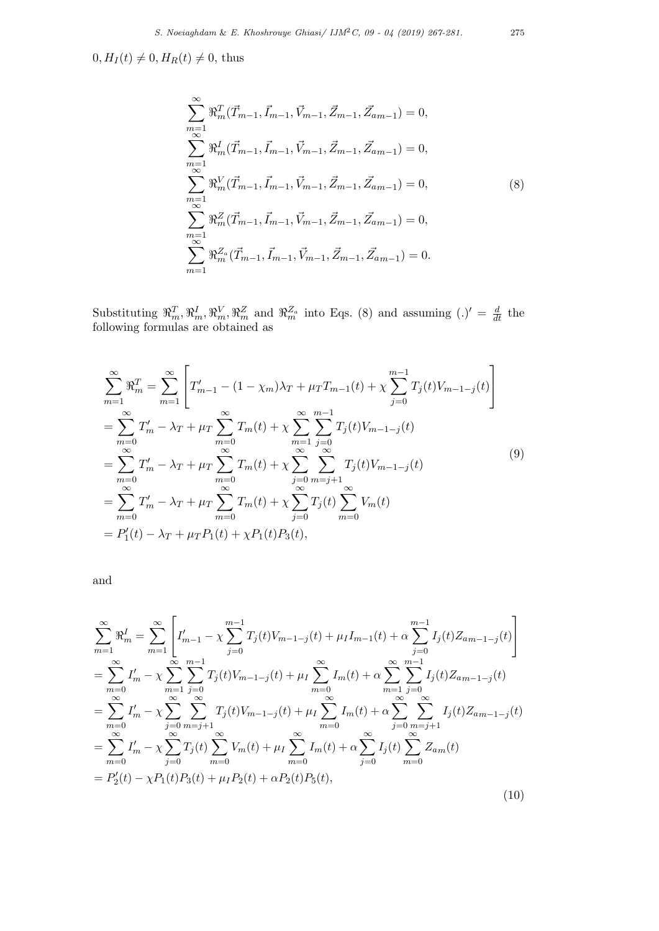$0, H_I(t) \neq 0, H_R(t) \neq 0$ , thus

$$
\sum_{m=1}^{\infty} \Re_m^T(\vec{T}_{m-1}, \vec{I}_{m-1}, \vec{V}_{m-1}, \vec{Z}_{m-1}, \vec{Z}_{am-1}) = 0,
$$
\n
$$
\sum_{m=1}^{\infty} \Re_m^I(\vec{T}_{m-1}, \vec{I}_{m-1}, \vec{V}_{m-1}, \vec{Z}_{m-1}, \vec{Z}_{am-1}) = 0,
$$
\n
$$
\sum_{m=1}^{\infty} \Re_m^V(\vec{T}_{m-1}, \vec{I}_{m-1}, \vec{V}_{m-1}, \vec{Z}_{m-1}, \vec{Z}_{am-1}) = 0,
$$
\n(8)\n
$$
\sum_{m=1}^{\infty} \Re_m^Z(\vec{T}_{m-1}, \vec{I}_{m-1}, \vec{V}_{m-1}, \vec{Z}_{m-1}, \vec{Z}_{am-1}) = 0,
$$
\n
$$
\sum_{m=1}^{\infty} \Re_m^Z(\vec{T}_{m-1}, \vec{I}_{m-1}, \vec{V}_{m-1}, \vec{Z}_{m-1}, \vec{Z}_{am-1}) = 0.
$$

Substituting  $\mathbb{R}_m^T, \mathbb{R}_m^I, \mathbb{R}_m^V, \mathbb{R}_m^Z$  and  $\mathbb{R}_m^{Z_a}$  into Eqs. (8) and assuming  $(.)' = \frac{d}{dt}$  the following formulas are obtained as

$$
\sum_{m=1}^{\infty} \Re_m^T = \sum_{m=1}^{\infty} \left[ T'_{m-1} - (1 - \chi_m) \lambda_T + \mu_T T_{m-1}(t) + \chi \sum_{j=0}^{m-1} T_j(t) V_{m-1-j}(t) \right]
$$
\n
$$
= \sum_{m=0}^{\infty} T'_{m} - \lambda_T + \mu_T \sum_{m=0}^{\infty} T_m(t) + \chi \sum_{m=1}^{\infty} \sum_{j=0}^{m-1} T_j(t) V_{m-1-j}(t)
$$
\n
$$
= \sum_{m=0}^{\infty} T'_{m} - \lambda_T + \mu_T \sum_{m=0}^{\infty} T_m(t) + \chi \sum_{j=0}^{\infty} \sum_{m=j+1}^{\infty} T_j(t) V_{m-1-j}(t)
$$
\n
$$
= \sum_{m=0}^{\infty} T'_{m} - \lambda_T + \mu_T \sum_{m=0}^{\infty} T_m(t) + \chi \sum_{j=0}^{\infty} T_j(t) \sum_{m=0}^{\infty} V_m(t)
$$
\n
$$
= P'_1(t) - \lambda_T + \mu_T P_1(t) + \chi P_1(t) P_3(t), \qquad (9)
$$

and

$$
\sum_{m=1}^{\infty} \Re_m^I = \sum_{m=1}^{\infty} \left[ I'_{m-1} - \chi \sum_{j=0}^{m-1} T_j(t) V_{m-1-j}(t) + \mu_I I_{m-1}(t) + \alpha \sum_{j=0}^{m-1} I_j(t) Z_{am-1-j}(t) \right]
$$
\n
$$
= \sum_{m=0}^{\infty} I'_{m} - \chi \sum_{m=1}^{\infty} \sum_{j=0}^{m-1} T_j(t) V_{m-1-j}(t) + \mu_I \sum_{m=0}^{\infty} I_m(t) + \alpha \sum_{m=1}^{\infty} \sum_{j=0}^{m-1} I_j(t) Z_{am-1-j}(t)
$$
\n
$$
= \sum_{m=0}^{\infty} I'_{m} - \chi \sum_{j=0}^{\infty} \sum_{m=j+1}^{\infty} T_j(t) V_{m-1-j}(t) + \mu_I \sum_{m=0}^{\infty} I_m(t) + \alpha \sum_{j=0}^{\infty} \sum_{m=j+1}^{\infty} I_j(t) Z_{am-1-j}(t)
$$
\n
$$
= \sum_{m=0}^{\infty} I'_{m} - \chi \sum_{j=0}^{\infty} T_j(t) \sum_{m=0}^{\infty} V_m(t) + \mu_I \sum_{m=0}^{\infty} I_m(t) + \alpha \sum_{j=0}^{\infty} I_j(t) \sum_{m=0}^{\infty} Z_{am}(t)
$$
\n
$$
= P_2'(t) - \chi P_1(t) P_3(t) + \mu_I P_2(t) + \alpha P_2(t) P_5(t), \tag{10}
$$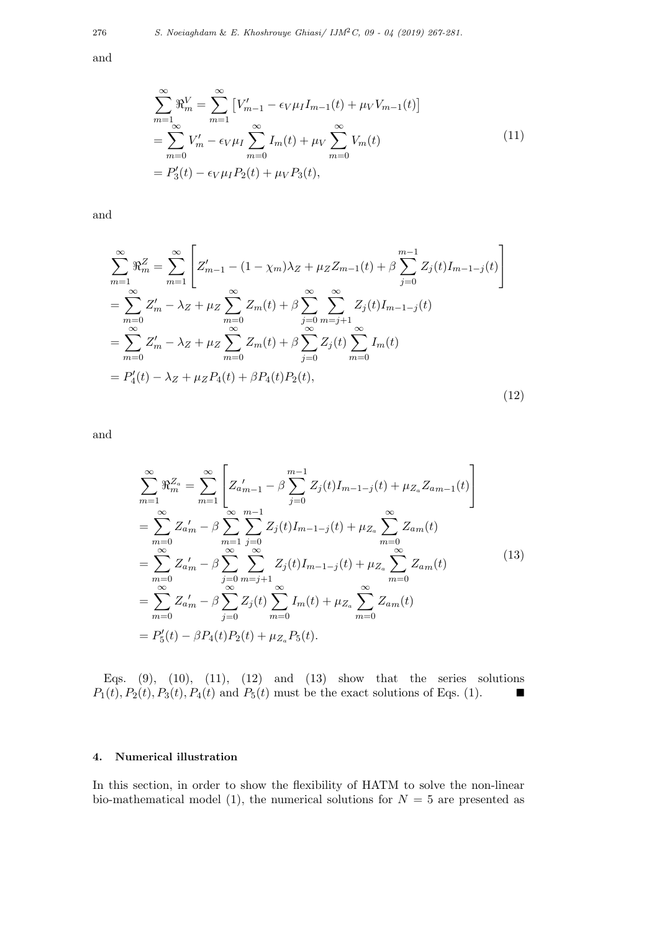and

$$
\sum_{m=1}^{\infty} \mathfrak{R}_{m}^{V} = \sum_{m=1}^{\infty} \left[ V'_{m-1} - \epsilon_{V} \mu_{I} I_{m-1}(t) + \mu_{V} V_{m-1}(t) \right]
$$
\n
$$
= \sum_{m=0}^{\infty} V'_{m} - \epsilon_{V} \mu_{I} \sum_{m=0}^{\infty} I_{m}(t) + \mu_{V} \sum_{m=0}^{\infty} V_{m}(t)
$$
\n
$$
= P'_{3}(t) - \epsilon_{V} \mu_{I} P_{2}(t) + \mu_{V} P_{3}(t),
$$
\n(11)

and

$$
\sum_{m=1}^{\infty} \Re_m^Z = \sum_{m=1}^{\infty} \left[ Z'_{m-1} - (1 - \chi_m) \lambda_Z + \mu_Z Z_{m-1}(t) + \beta \sum_{j=0}^{m-1} Z_j(t) I_{m-1-j}(t) \right]
$$
  
\n
$$
= \sum_{m=0}^{\infty} Z'_m - \lambda_Z + \mu_Z \sum_{m=0}^{\infty} Z_m(t) + \beta \sum_{j=0}^{\infty} \sum_{m=j+1}^{\infty} Z_j(t) I_{m-1-j}(t)
$$
  
\n
$$
= \sum_{m=0}^{\infty} Z'_m - \lambda_Z + \mu_Z \sum_{m=0}^{\infty} Z_m(t) + \beta \sum_{j=0}^{\infty} Z_j(t) \sum_{m=0}^{\infty} I_m(t)
$$
  
\n
$$
= P'_4(t) - \lambda_Z + \mu_Z P_4(t) + \beta P_4(t) P_2(t), \tag{12}
$$

and

$$
\sum_{m=1}^{\infty} \Re_m^{Z_a} = \sum_{m=1}^{\infty} \left[ Z_{a'_{m-1}} - \beta \sum_{j=0}^{m-1} Z_j(t) I_{m-1-j}(t) + \mu_{Z_a} Z_{am-1}(t) \right]
$$
\n
$$
= \sum_{m=0}^{\infty} Z_{a'_{m}} - \beta \sum_{m=1}^{\infty} \sum_{j=0}^{m-1} Z_j(t) I_{m-1-j}(t) + \mu_{Z_a} \sum_{m=0}^{\infty} Z_{am}(t)
$$
\n
$$
= \sum_{m=0}^{\infty} Z_{a'_{m}} - \beta \sum_{j=0}^{\infty} \sum_{m=j+1}^{\infty} Z_j(t) I_{m-1-j}(t) + \mu_{Z_a} \sum_{m=0}^{\infty} Z_{am}(t)
$$
\n
$$
= \sum_{m=0}^{\infty} Z_{a'_{m}} - \beta \sum_{j=0}^{\infty} Z_j(t) \sum_{m=0}^{\infty} I_m(t) + \mu_{Z_a} \sum_{m=0}^{\infty} Z_{am}(t)
$$
\n
$$
= P'_5(t) - \beta P_4(t) P_2(t) + \mu_{Z_a} P_5(t).
$$
\n(13)

Eqs.  $(9)$ ,  $(10)$ ,  $(11)$ ,  $(12)$  and  $(13)$  show that the series solutions  $P_1(t)$ ,  $P_2(t)$ ,  $P_3(t)$ ,  $P_4(t)$  and  $P_5(t)$  must be the exact solutions of Eqs. (1). ■

### **4. Numerical illustration**

In this section, in order to show the flexibility of HATM to solve the non-linear bio-mathematical model (1), the numerical solutions for  $N = 5$  are presented as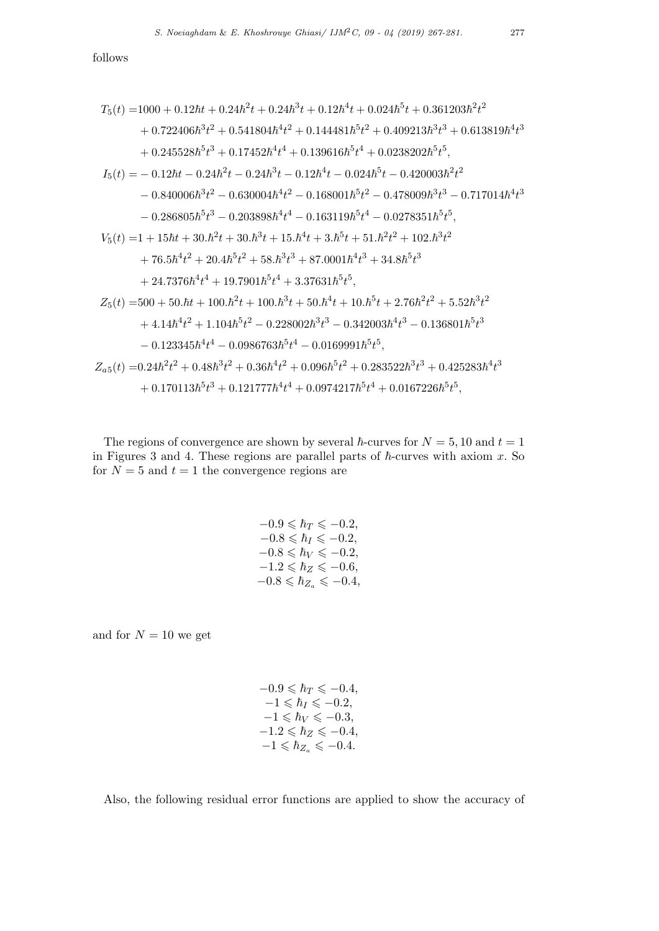follows

$$
T_5(t) = 1000 + 0.12\hbar t + 0.24\hbar^2 t + 0.24\hbar^3 t + 0.12\hbar^4 t + 0.024\hbar^5 t + 0.361203\hbar^2 t^2
$$
  
+ 0.722406\hbar^3 t^2 + 0.541804\hbar^4 t^2 + 0.144481\hbar^5 t^2 + 0.409213\hbar^3 t^3 + 0.613819\hbar^4 t^3  
+ 0.245528\hbar^5 t^3 + 0.17452\hbar^4 t^4 + 0.139616\hbar^5 t^4 + 0.0238202\hbar^5 t^5,  

$$
I_5(t) = -0.12\hbar t - 0.24\hbar^2 t - 0.24\hbar^3 t - 0.12\hbar^4 t - 0.024\hbar^5 t - 0.420003\hbar^2 t^2
$$
  
- 0.840006\hbar^3 t^2 - 0.630004\hbar^4 t^2 - 0.168001\hbar^5 t^2 - 0.478009\hbar^3 t^3 - 0.717014\hbar^4 t^3  
- 0.286805\hbar^5 t^3 - 0.203898\hbar^4 t^4 - 0.163119\hbar^5 t^4 - 0.0278351\hbar^5 t^5,  

$$
V_5(t) = 1 + 15\hbar t + 30.\hbar^2 t + 30.\hbar^3 t + 15.\hbar^4 t + 3.\hbar^5 t + 51.\hbar^2 t^2 + 102.\hbar^3 t^2
$$
  
+ 76.5\hbar^4 t^2 + 20.4\hbar^5 t^2 + 58.\hbar^3 t^3 + 87.0001\hbar^4 t^3 + 34.8\hbar^5 t^3  
+ 24.7376\hbar^4 t^4 + 19.7901\hbar^5 t^4 + 3.37631\hbar^5 t^5,  

$$
Z_5(t) = 500 + 50.\hbar t + 100
$$

The regions of convergence are shown by several  $\hbar$ -curves for  $N = 5, 10$  and  $t = 1$ in Figures 3 and 4. These regions are parallel parts of  $\hbar$ -curves with axiom  $x$ . So for  $N = 5$  and  $t = 1$  the convergence regions are

$$
-0.9 \leq \hbar_T \leq -0.2,\n-0.8 \leq \hbar_I \leq -0.2,\n-0.8 \leq \hbar_V \leq -0.2,\n-1.2 \leq \hbar_Z \leq -0.6,\n-0.8 \leq \hbar_{Z_a} \leq -0.4,
$$

and for  $N = 10$  we get

$$
-0.9 \le \hbar_T \le -0.4,\n-1 \le \hbar_I \le -0.2,\n-1 \le \hbar_V \le -0.3,\n-1.2 \le \hbar_Z \le -0.4,\n-1 \le \hbar_{Z_a} \le -0.4.
$$

Also, the following residual error functions are applied to show the accuracy of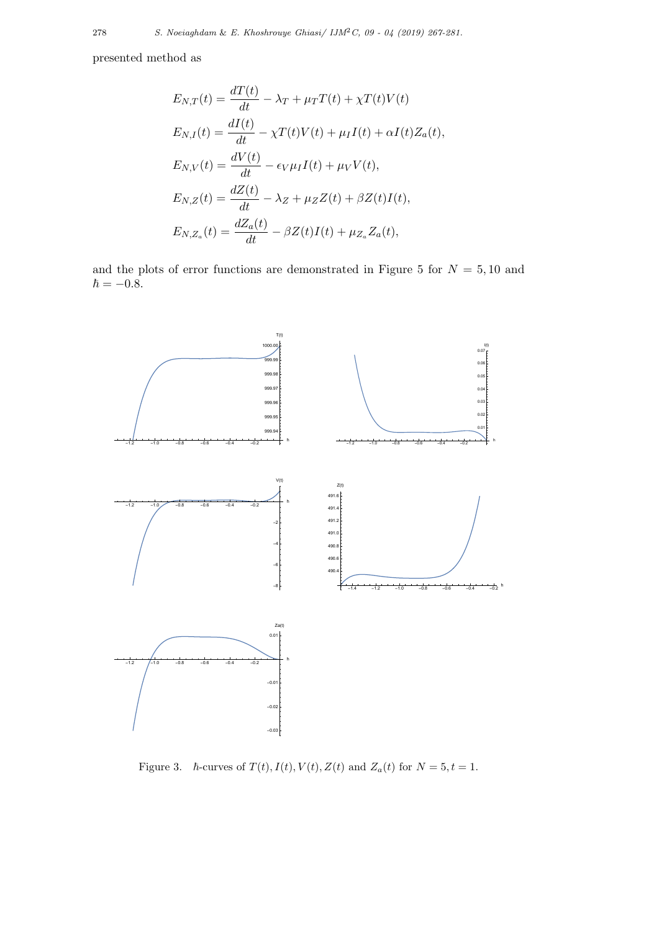presented method as

$$
E_{N,T}(t) = \frac{dT(t)}{dt} - \lambda_T + \mu_T T(t) + \chi T(t)V(t)
$$
  
\n
$$
E_{N,I}(t) = \frac{dI(t)}{dt} - \chi T(t)V(t) + \mu_I I(t) + \alpha I(t)Z_a(t),
$$
  
\n
$$
E_{N,V}(t) = \frac{dV(t)}{dt} - \epsilon_V \mu_I I(t) + \mu_V V(t),
$$
  
\n
$$
E_{N,Z}(t) = \frac{dZ(t)}{dt} - \lambda_Z + \mu_Z Z(t) + \beta Z(t)I(t),
$$
  
\n
$$
E_{N,Z_a}(t) = \frac{dZ_a(t)}{dt} - \beta Z(t)I(t) + \mu_{Z_a} Z_a(t),
$$

and the plots of error functions are demonstrated in Figure 5 for  $N = 5, 10$  and  $\hbar = -0.8$ .



Figure 3.  $\hbar$ -curves of  $T(t)$ ,  $I(t)$ ,  $V(t)$ ,  $Z(t)$  and  $Z_a(t)$  for  $N = 5, t = 1$ .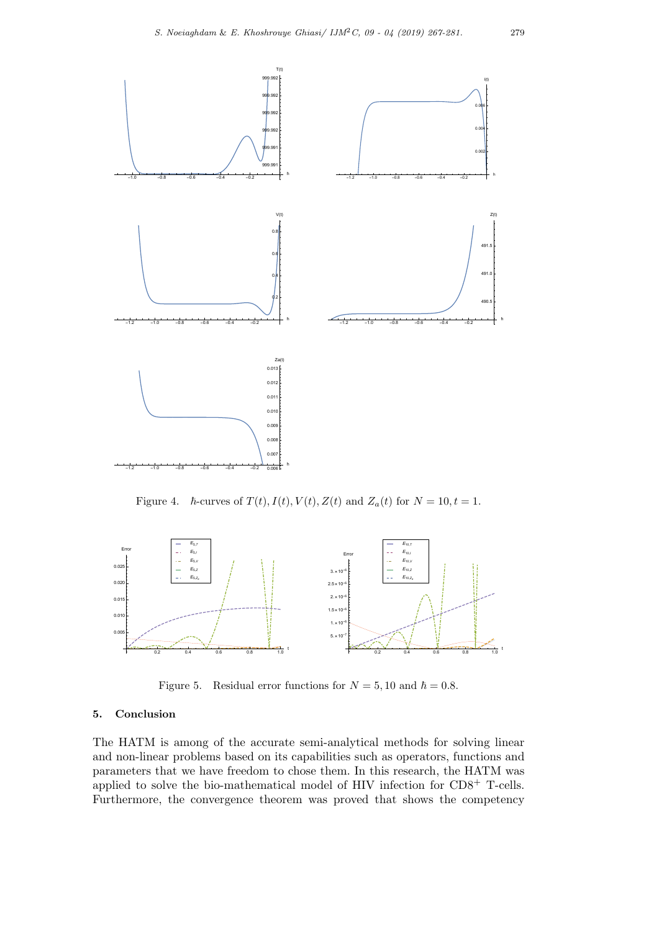

Figure 4.  $\hbar$ -curves of  $T(t)$ ,  $I(t)$ ,  $V(t)$ ,  $Z(t)$  and  $Z_a(t)$  for  $N = 10, t = 1$ .



Figure 5. Residual error functions for  $N = 5, 10$  and  $\hbar = 0.8$ .

### **5. Conclusion**

The HATM is among of the accurate semi-analytical methods for solving linear and non-linear problems based on its capabilities such as operators, functions and parameters that we have freedom to chose them. In this research, the HATM was applied to solve the bio-mathematical model of HIV infection for CD8<sup>+</sup> T-cells. Furthermore, the convergence theorem was proved that shows the competency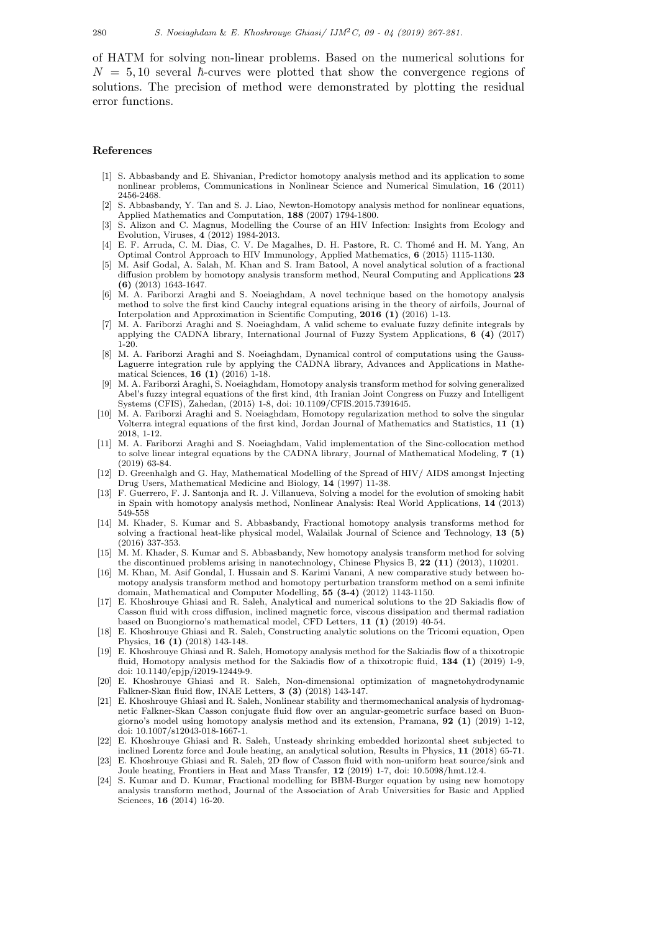280 *S. Noeiaghdam* & *E. Khoshrouye Ghiasi/ IJM*2*C, 09 - 04 (2019) 267-281.*

of HATM for solving non-linear problems. Based on the numerical solutions for  $N = 5,10$  several  $\hbar$ -curves were plotted that show the convergence regions of solutions. The precision of method were demonstrated by plotting the residual error functions.

#### **References**

- [1] S. Abbasbandy and E. Shivanian, Predictor homotopy analysis method and its application to some nonlinear problems, Communications in Nonlinear Science and Numerical Simulation, **16** (2011) 2456-2468.
- [2] S. Abbasbandy, Y. Tan and S. J. Liao, Newton-Homotopy analysis method for nonlinear equations, Applied Mathematics and Computation, **188** (2007) 1794-1800.
- [3] S. Alizon and C. Magnus, Modelling the Course of an HIV Infection: Insights from Ecology and Evolution, Viruses, **4** (2012) 1984-2013.
- [4] E. F. Arruda, C. M. Dias, C. V. De Magalhes, D. H. Pastore, R. C. Thom´e and H. M. Yang, An Optimal Control Approach to HIV Immunology, Applied Mathematics, **6** (2015) 1115-1130.
- [5] M. Asif Godal, A. Salah, M. Khan and S. Iram Batool, A novel analytical solution of a fractional diffusion problem by homotopy analysis transform method, Neural Computing and Applications **23 (6)** (2013) 1643-1647.
- [6] M. A. Fariborzi Araghi and S. Noeiaghdam, A novel technique based on the homotopy analysis method to solve the first kind Cauchy integral equations arising in the theory of airfoils, Journal of Interpolation and Approximation in Scientific Computing, **2016 (1)** (2016) 1-13.
- [7] M. A. Fariborzi Araghi and S. Noeiaghdam, A valid scheme to evaluate fuzzy definite integrals by applying the CADNA library, International Journal of Fuzzy System Applications, **6 (4)** (2017) 1-20.
- [8] M. A. Fariborzi Araghi and S. Noeiaghdam, Dynamical control of computations using the Gauss-Laguerre integration rule by applying the CADNA library, Advances and Applications in Mathematical Sciences, **16 (1)** (2016) 1-18.
- [9] M. A. Fariborzi Araghi, S. Noeiaghdam, Homotopy analysis transform method for solving generalized Abel's fuzzy integral equations of the first kind, 4th Iranian Joint Congress on Fuzzy and Intelligent Systems (CFIS), Zahedan, (2015) 1-8, doi: 10.1109/CFIS.2015.7391645.
- [10] M. A. Fariborzi Araghi and S. Noeiaghdam, Homotopy regularization method to solve the singular Volterra integral equations of the first kind, Jordan Journal of Mathematics and Statistics, **11 (1)** 2018, 1-12.
- [11] M. A. Fariborzi Araghi and S. Noeiaghdam, Valid implementation of the Sinc-collocation method to solve linear integral equations by the CADNA library, Journal of Mathematical Modeling, **7 (1)** (2019) 63-84.
- [12] D. Greenhalgh and G. Hay, Mathematical Modelling of the Spread of HIV/ AIDS amongst Injecting Drug Users, Mathematical Medicine and Biology, **14** (1997) 11-38.
- [13] F. Guerrero, F. J. Santonja and R. J. Villanueva, Solving a model for the evolution of smoking habit in Spain with homotopy analysis method, Nonlinear Analysis: Real World Applications, **14** (2013) 549-558
- [14] M. Khader, S. Kumar and S. Abbasbandy, Fractional homotopy analysis transforms method for solving a fractional heat-like physical model, Walailak Journal of Science and Technology, **13 (5)** (2016) 337-353.
- [15] M. M. Khader, S. Kumar and S. Abbasbandy, New homotopy analysis transform method for solving the discontinued problems arising in nanotechnology, Chinese Physics B, **22 (11)** (2013), 110201.
- [16] M. Khan, M. Asif Gondal, I. Hussain and S. Karimi Vanani, A new comparative study between homotopy analysis transform method and homotopy perturbation transform method on a semi infinite domain, Mathematical and Computer Modelling, **55 (3-4)** (2012) 1143-1150.
- [17] E. Khoshrouye Ghiasi and R. Saleh, Analytical and numerical solutions to the 2D Sakiadis flow of Casson fluid with cross diffusion, inclined magnetic force, viscous dissipation and thermal radiation based on Buongiorno's mathematical model, CFD Letters, **11 (1)** (2019) 40-54.
- [18] E. Khoshrouye Ghiasi and R. Saleh, Constructing analytic solutions on the Tricomi equation, Open Physics, **16 (1)** (2018) 143-148.
- [19] E. Khoshrouye Ghiasi and R. Saleh, Homotopy analysis method for the Sakiadis flow of a thixotropic fluid, Homotopy analysis method for the Sakiadis flow of a thixotropic fluid, **134 (1)** (2019) 1-9, doi: 10.1140/epjp/i2019-12449-9.
- [20] E. Khoshrouye Ghiasi and R. Saleh, Non-dimensional optimization of magnetohydrodynamic Falkner-Skan fluid flow, INAE Letters, **3 (3)** (2018) 143-147.
- [21] E. Khoshrouye Ghiasi and R. Saleh, Nonlinear stability and thermomechanical analysis of hydromagnetic Falkner-Skan Casson conjugate fluid flow over an angular-geometric surface based on Buongiorno's model using homotopy analysis method and its extension, Pramana, **92 (1)** (2019) 1-12, doi: 10.1007/s12043-018-1667-1.
- [22] E. Khoshrouye Ghiasi and R. Saleh, Unsteady shrinking embedded horizontal sheet subjected to inclined Lorentz force and Joule heating, an analytical solution, Results in Physics, **11** (2018) 65-71.
- [23] E. Khoshrouye Ghiasi and R. Saleh, 2D flow of Casson fluid with non-uniform heat source/sink and Joule heating, Frontiers in Heat and Mass Transfer, **12** (2019) 1-7, doi: 10.5098/hmt.12.4.
- [24] S. Kumar and D. Kumar, Fractional modelling for BBM-Burger equation by using new homotopy analysis transform method, Journal of the Association of Arab Universities for Basic and Applied Sciences, **16** (2014) 16-20.